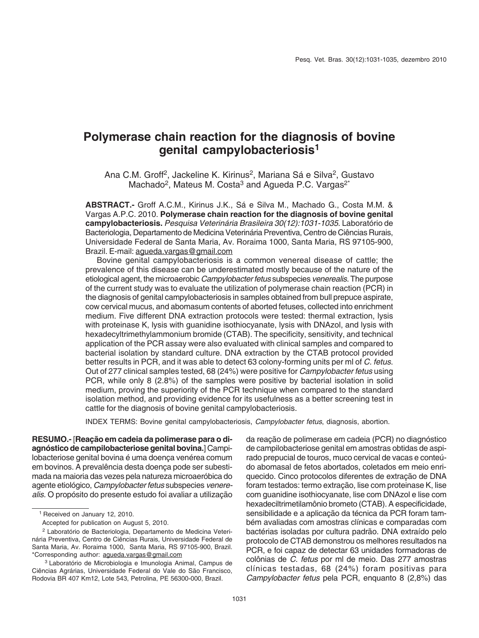# **Polymerase chain reaction for the diagnosis of bovine genital campylobacteriosis1**

Ana C.M. Groff<sup>2</sup>, Jackeline K. Kirinus<sup>2</sup>, Mariana Sá e Silva<sup>2</sup>, Gustavo Machado<sup>2</sup>, Mateus M. Costa<sup>3</sup> and Agueda P.C. Vargas<sup> $2^*$ </sup>

**ABSTRACT.-** Groff A.C.M., Kirinus J.K., Sá e Silva M., Machado G., Costa M.M. & Vargas A.P.C. 2010. **Polymerase chain reaction for the diagnosis of bovine genital campylobacteriosis.** *Pesquisa Veterinária Brasileira 30(12):1031-1035.* Laboratório de Bacteriologia, Departamento de Medicina Veterinária Preventiva, Centro de Ciências Rurais, Universidade Federal de Santa Maria, Av. Roraima 1000, Santa Maria, RS 97105-900, Brazil. E-mail: agueda.vargas@gmail.com

Bovine genital campylobacteriosis is a common venereal disease of cattle; the prevalence of this disease can be underestimated mostly because of the nature of the etiological agent, the microaerobic *Campylobacter fetus* subspecies *venerealis*. The purpose of the current study was to evaluate the utilization of polymerase chain reaction (PCR) in the diagnosis of genital campylobacteriosis in samples obtained from bull prepuce aspirate, cow cervical mucus, and abomasum contents of aborted fetuses, collected into enrichment medium. Five different DNA extraction protocols were tested: thermal extraction, lysis with proteinase K, lysis with guanidine isothiocyanate, lysis with DNAzol, and lysis with hexadecyltrimethylammonium bromide (CTAB). The specificity, sensitivity, and technical application of the PCR assay were also evaluated with clinical samples and compared to bacterial isolation by standard culture. DNA extraction by the CTAB protocol provided better results in PCR, and it was able to detect 63 colony-forming units per ml of *C. fetus*. Out of 277 clinical samples tested, 68 (24%) were positive for *Campylobacter fetus* using PCR, while only 8 (2.8%) of the samples were positive by bacterial isolation in solid medium, proving the superiority of the PCR technique when compared to the standard isolation method, and providing evidence for its usefulness as a better screening test in cattle for the diagnosis of bovine genital campylobacteriosis.

INDEX TERMS: Bovine genital campylobacteriosis, *Campylobacter fetus*, diagnosis, abortion.

**RESUMO.-** [**Reação em cadeia da polimerase para o diagnóstico de campilobacteriose genital bovina.**] Campilobacteriose genital bovina é uma doença venérea comum em bovinos. A prevalência desta doença pode ser subestimada na maioria das vezes pela natureza microaeróbica do agente etiológico, *Campylobacter fetus* subspecies *venerealis.* O propósito do presente estudo foi avaliar a utilização da reação de polimerase em cadeia (PCR) no diagnóstico de campilobacteriose genital em amostras obtidas de aspirado prepucial de touros, muco cervical de vacas e conteúdo abomasal de fetos abortados, coletados em meio enriquecido. Cinco protocolos diferentes de extração de DNA foram testados: termo extração, lise com proteinase K, lise com guanidine isothiocyanate, lise com DNAzol e lise com hexadeciltrimetilamônio brometo (CTAB). A especificidade, sensibilidade e a aplicação da técnica da PCR foram também avaliadas com amostras clínicas e comparadas com bactérias isoladas por cultura padrão. DNA extraído pelo protocolo de CTAB demonstrou os melhores resultados na PCR, e foi capaz de detectar 63 unidades formadoras de colônias de *C. fetus* por ml de meio. Das 277 amostras clínicas testadas, 68 (24%) foram positivas para *Campylobacter fetus* pela PCR, enquanto 8 (2,8%) das

 <sup>1</sup> Received on January 12, 2010.

Accepted for publication on August 5, 2010.

 <sup>2</sup> Laboratório de Bacteriologia, Departamento de Medicina Veterinária Preventiva, Centro de Ciências Rurais, Universidade Federal de Santa Maria, Av. Roraima 1000, Santa Maria, RS 97105-900, Brazil. \*Corresponding author: agueda.vargas@gmail.com

 <sup>3</sup> Laboratório de Microbiologia e Imunologia Animal, Campus de Ciências Agrárias, Universidade Federal do Vale do São Francisco, Rodovia BR 407 Km12, Lote 543, Petrolina, PE 56300-000, Brazil.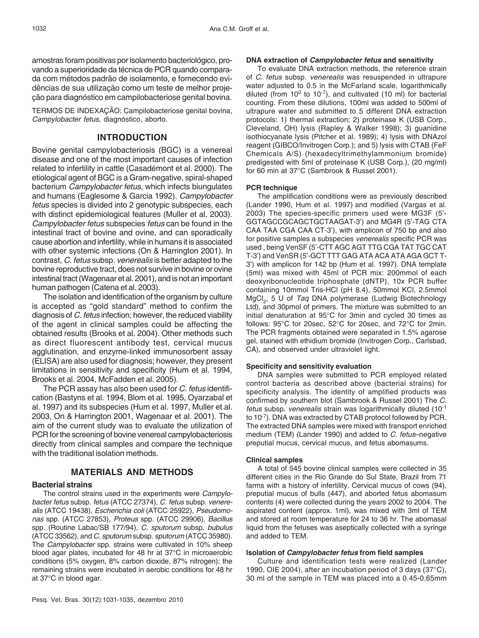amostras foram positivas por isolamento bacteriológico, provando a superioridade da técnica de PCR quando comparada com métodos padrão de isolamento, e fornecendo evidências de sua utilização como um teste de melhor projeção para diagnóstico em campilobacteriose genital bovina.

TERMOS DE INDEXAÇÃO: Campilobacteriose genital bovina, *Campylobacter fetus*, diagnóstico, aborto.

# **INTRODUCTION**

Bovine genital campylobacteriosis (BGC) is a venereal disease and one of the most important causes of infection related to infertility in cattle (Casadémont et al. 2000). The etiological agent of BGC is a Gram-negative, spiral-shaped bacterium *Campylobacter fetus*, which infects biungulates and humans (Eaglesome & Garcia 1992). *Campylobacter fetus* species is divided into 2 genotypic subspecies, each with distinct epidemiological features (Muller et al. 2003). *Campylobacter fetus* subspecies *fetus* can be found in the intestinal tract of bovine and ovine, and can sporadically cause abortion and infertility, while in humans it is associated with other systemic infections (On & Harrington 2001). In contrast, *C. fetus* subsp. *venerealis* is better adapted to the bovine reproductive tract, does not survive in bovine or ovine intestinal tract (Wagenaar et al. 2001), and is not an important human pathogen (Catena et al. 2003).

The isolation and identification of the organism by culture is accepted as "gold standard" method to confirm the diagnosis of *C. fetus* infection; however, the reduced viability of the agent in clinical samples could be affecting the obtained results (Brooks et al. 2004). Other methods such as direct fluorescent antibody test, cervical mucus agglutination, and enzyme-linked immunosorbent assay (ELISA) are also used for diagnosis; however, they present limitations in sensitivity and specificity (Hum et al. 1994, Brooks et al. 2004, McFadden et al. 2005).

The PCR assay has also been used for *C. fetus* identification (Bastyns et al. 1994, Blom et al. 1995, Oyarzabal et al. 1997) and its subspecies (Hum et al. 1997, Muller et al. 2003, On & Harrington 2001, Wagenaar et al. 2001). The aim of the current study was to evaluate the utilization of PCR for the screening of bovine venereal campylobacteriosis directly from clinical samples and compare the technique with the traditional isolation methods.

# **MATERIALS AND METHODS**

## **Bacterial strains**

The control strains used in the experiments were *Campylobacter fetus* subsp. *fetus* (ATCC 27374), *C. fetus* subsp. *venerealis* (ATCC 19438), *Escherichia coli* (ATCC 25922), *Pseudomonas* spp. (ATCC 27853), *Proteus* spp. (ATCC 29906), *Bacillus* spp. (Routine Labac/SB 177/94), *C. sputorum* subsp. *bubulus* (ATCC 33562), and *C. sputorum* subsp. *sputorum* (ATCC 35980). The *Campylobacter* spp. strains were cultivated in 10% sheep blood agar plates, incubated for 48 hr at 37°C in microaerobic conditions (5% oxygen, 8% carbon dioxide, 87% nitrogen); the remaining strains were incubated in aerobic conditions for 48 hr at 37°C in blood agar.

#### **DNA extraction of** *Campylobacter fetus* **and sensitivity**

To evaluate DNA extraction methods, the reference strain of *C. fetus* subsp. *venerealis* was resuspended in ultrapure water adjusted to 0.5 in the McFarland scale, logarithmically diluted (from  $10^0$  to  $10^{-7}$ ), and cultivated (10 ml) for bacterial counting. From these dilutions, 100ml was added to 500ml of ultrapure water and submitted to 5 different DNA extraction protocols: 1) thermal extraction; 2) proteinase K (USB Corp., Cleveland, OH) lysis (Rapley & Walker 1998); 3) guanidine isothiocyanate lysis (Pitcher et al. 1989); 4) lysis with DNAzol reagent (GIBCO/Invitrogen Corp.); and 5) lysis with CTAB (FeF Chemicals A/S) (hexadecyltrimethylammonium bromide) predigested with 5ml of proteinase K (USB Corp.), (20 mg/ml) for 60 min at 37°C (Sambrook & Russel 2001).

## **PCR technique**

The amplification conditions were as previously described (Lander 1990, Hum et al. 1997) and modified (Vargas et al. 2003) The species-specific primers used were MG3F (5'- GGTAGCCGCAGCTGCTAAGAT-3') and MG4R (5'-TAG CTA CAA TAA CGA CAA CT-3'), with amplicon of 750 bp and also for positive samples a subspecies *venerealis* specific PCR was used , being VenSF (5'-CTT AGC AGT TTG CGA TAT TGC CAT T-3') and VenSR (5'-GCT TTT GAG ATA ACA ATA AGA GCT T-3') with amplicon for 142 bp (Hum et al. 1997). DNA template (5ml) was mixed with 45ml of PCR mix: 200mmol of each deoxyribonucleotide triphosphate (dNTP), 10x PCR buffer containing 10mmol Tris-HCl (pH 8.4), 50mmol KCl, 2.5mmol MgCl<sub>2</sub>, 5 U of *Taq* DNA polymerase (Ludwig Biotechnology Ltd), and 30pmol of primers. The mixture was submitted to an initial denaturation at 95°C for 3min and cycled 30 times as follows: 95°C for 20sec, 52°C for 20sec, and 72°C for 2min. The PCR fragments obtained were separated in 1.5% agarose gel, stained with ethidium bromide (Invitrogen Corp., Carlsbad, CA), and observed under ultraviolet light.

#### **Specificity and sensitivity evaluation**

DNA samples were submitted to PCR employed related control bacteria as described above (bacterial strains) for specificity analysis. The identity of amplified products was confirmed by southern blot (Sambrook & Russel 2001) The *C. fetus* subsp. *venerealis* strain was logarithmically diluted (10-1 to 10-7). DNA was extracted by CTAB protocol followed by PCR. The extracted DNA samples were mixed with transport enriched medium (TEM) (Lander 1990) and added to *C. fetus*–negative preputial mucus, cervical mucus, and fetus abomasums.

#### **Clinical samples**

A total of 545 bovine clinical samples were collected in 35 different cities in the Rio Grande do Sul State, Brazil from 71 farms with a history of infertility. Cervical mucus of cows (94), preputial mucus of bulls (447), and aborted fetus abomasum contents (4) were collected during the years 2002 to 2004. The aspirated content (approx. 1ml), was mixed with 3ml of TEM and stored at room temperature for 24 to 36 hr. The abomasal liquid from the fetuses was aseptically collected with a syringe and added to TEM.

#### **Isolation of** *Campylobacter fetus* **from field samples**

Culture and identification tests were realized (Lander 1990, OIE 2004), after an incubation period of 3 days (37°C), 30 ml of the sample in TEM was placed into a 0.45-0.65mm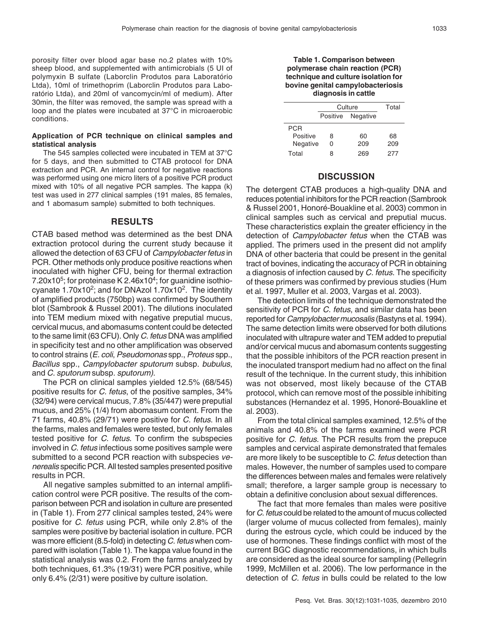porosity filter over blood agar base no.2 plates with 10% sheep blood, and supplemented with antimicrobials (5 UI of polymyxin B sulfate (Laborclin Produtos para Laboratório Ltda), 10ml of trimethoprim (Laborclin Produtos para Laboratório Ltda), and 20ml of vancomycin/ml of medium). After 30min, the filter was removed, the sample was spread with a loop and the plates were incubated at 37°C in microaerobic conditions.

#### **Application of PCR technique on clinical samples and statistical analysis**

The 545 samples collected were incubated in TEM at 37°C for 5 days, and then submitted to CTAB protocol for DNA extraction and PCR. An internal control for negative reactions was performed using one micro liters of a positive PCR product mixed with 10% of all negative PCR samples. The kappa (k) test was used in 277 clinical samples (191 males, 85 females, and 1 abomasum sample) submitted to both techniques.

#### **RESULTS**

CTAB based method was determined as the best DNA extraction protocol during the current study because it allowed the detection of 63 CFU of *Campylobacter fetus* in PCR. Other methods only produce positive reactions when inoculated with higher CFU, being for thermal extraction 7.20 $x10<sup>5</sup>$ ; for proteinase K 2.46 $x10<sup>4</sup>$ ; for guanidine isothiocyanate  $1.70x10^2$ ; and for DNAzol  $1.70x10^2$ . The identity of amplified products (750bp) was confirmed by Southern blot (Sambrook & Russel 2001). The dilutions inoculated into TEM medium mixed with negative preputial mucus, cervical mucus, and abomasums content could be detected to the same limit (63 CFU). Only *C. fetus* DNA was amplified in specificity test and no other amplification was observed to control strains (*E. coli*, *Pseudomonas* spp., *Proteus* spp., *Bacillus* spp., *Campylobacter sputorum* subsp. *bubulus*, and *C. sputorum* subsp. *sputorum)*.

The PCR on clinical samples yielded 12.5% (68/545) positive results for *C. fetus*, of the positive samples, 34% (32/94) were cervical mucus, 7.8% (35/447) were preputial mucus, and 25% (1/4) from abomasum content. From the 71 farms, 40.8% (29/71) were positive for *C. fetus*. In all the farms, males and females were tested, but only females tested positive for *C. fetus*. To confirm the subspecies involved in *C. fetus* infectious some positives sample were submitted to a second PCR reaction with subspecies *venerealis* specific PCR. All tested samples presented positive results in PCR.

All negative samples submitted to an internal amplification control were PCR positive. The results of the comparison between PCR and isolation in culture are presented in (Table 1). From 277 clinical samples tested, 24% were positive for *C. fetus* using PCR, while only 2.8% of the samples were positive by bacterial isolation in culture. PCR was more efficient (8.5-fold) in detecting *C. fetus* when compared with isolation (Table 1). The kappa value found in the statistical analysis was 0.2. From the farms analyzed by both techniques, 61.3% (19/31) were PCR positive, while only 6.4% (2/31) were positive by culture isolation.

#### **Table 1. Comparison between polymerase chain reaction (PCR) technique and culture isolation for bovine genital campylobacteriosis diagnosis in cattle**

|            | Culture  |          | Total |
|------------|----------|----------|-------|
|            | Positive | Negative |       |
| <b>PCR</b> |          |          |       |
| Positive   | 8        | 60       | 68    |
| Negative   | 0        | 209      | 209   |
| Total      | R        | 269      | 277   |

#### **DISCUSSION**

The detergent CTAB produces a high-quality DNA and reduces potential inhibitors for the PCR reaction (Sambrook & Russel 2001, Honoré-Bouakline et al. 2003) common in clinical samples such as cervical and preputial mucus. These characteristics explain the greater efficiency in the detection of *Campylobacter fetus* when the CTAB was applied. The primers used in the present did not amplify DNA of other bacteria that could be present in the genital tract of bovines, indicating the accuracy of PCR in obtaining a diagnosis of infection caused by *C. fetus*. The specificity of these primers was confirmed by previous studies (Hum et al. 1997, Muller et al. 2003, Vargas et al. 2003).

The detection limits of the technique demonstrated the sensitivity of PCR for *C. fetus*, and similar data has been reported for *Campylobacter mucosalis* (Bastyns et al. 1994). The same detection limits were observed for both dilutions inoculated with ultrapure water and TEM added to preputial and/or cervical mucus and abomasum contents suggesting that the possible inhibitors of the PCR reaction present in the inoculated transport medium had no affect on the final result of the technique. In the current study, this inhibition was not observed, most likely because of the CTAB protocol, which can remove most of the possible inhibiting substances (Hernandez et al. 1995, Honoré-Bouakline et al. 2003).

From the total clinical samples examined, 12.5% of the animals and 40.8% of the farms examined were PCR positive for *C. fetus*. The PCR results from the prepuce samples and cervical aspirate demonstrated that females are more likely to be susceptible to *C. fetus* detection than males. However, the number of samples used to compare the differences between males and females were relatively small; therefore, a larger sample group is necessary to obtain a definitive conclusion about sexual differences.

The fact that more females than males were positive for *C. fetus* could be related to the amount of mucus collected (larger volume of mucus collected from females), mainly during the estrous cycle, which could be induced by the use of hormones. These findings conflict with most of the current BGC diagnostic recommendations, in which bulls are considered as the ideal source for sampling (Pellegrin 1999, McMillen et al. 2006). The low performance in the detection of *C. fetus* in bulls could be related to the low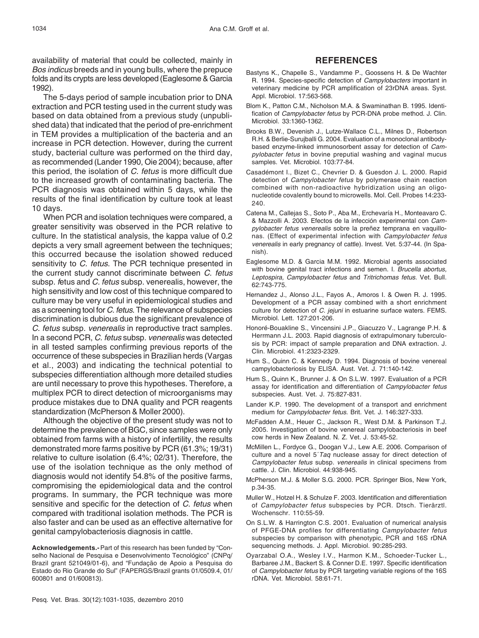availability of material that could be collected, mainly in *Bos indicus* breeds and in young bulls, where the prepuce folds and its crypts are less developed (Eaglesome & Garcia 1992).

The 5-days period of sample incubation prior to DNA extraction and PCR testing used in the current study was based on data obtained from a previous study (unpublished data) that indicated that the period of pre-enrichment in TEM provides a multiplication of the bacteria and an increase in PCR detection. However, during the current study, bacterial culture was performed on the third day, as recommended (Lander 1990, Oie 2004); because, after this period, the isolation of *C. fetus* is more difficult due to the increased growth of contaminating bacteria. The PCR diagnosis was obtained within 5 days, while the results of the final identification by culture took at least 10 days.

When PCR and isolation techniques were compared, a greater sensitivity was observed in the PCR relative to culture. In the statistical analysis, the kappa value of 0.2 depicts a very small agreement between the techniques; this occurred because the isolation showed reduced sensitivity to *C. fetus*. The PCR technique presented in the current study cannot discriminate between *C. fetus* subsp. *f*etus and *C. fetus* subsp. venerealis, however, the high sensitivity and low cost of this technique compared to culture may be very useful in epidemiological studies and as a screening tool for *C. fetus*. The relevance of subspecies discrimination is dubious due the significant prevalence of *C. fetus* subsp. *venerealis* in reproductive tract samples. In a second PCR, *C. fetus* subsp. *venerealis* was detected in all tested samples confirming previous reports of the occurrence of these subspecies in Brazilian herds (Vargas et al., 2003) and indicating the technical potential to subspecies differentiation although more detailed studies are until necessary to prove this hypotheses. Therefore, a multiplex PCR to direct detection of microorganisms may produce mistakes due to DNA quality and PCR reagents standardization (McPherson & Moller 2000).

Although the objective of the present study was not to determine the prevalence of BGC, since samples were only obtained from farms with a history of infertility, the results demonstrated more farms positive by PCR (61.3%; 19/31) relative to culture isolation (6.4%; 02/31). Therefore, the use of the isolation technique as the only method of diagnosis would not identify 54.8% of the positive farms, compromising the epidemiological data and the control programs. In summary, the PCR technique was more sensitive and specific for the detection of *C. fetus* when compared with traditional isolation methods. The PCR is also faster and can be used as an effective alternative for genital campylobacteriosis diagnosis in cattle.

**Acknowledgements.-**Part of this research has been funded by "Conselho Nacional de Pesquisa e Desenvolvimento Tecnológico" (CNPq/ Brazil grant 521049/01-6), and "Fundação de Apoio a Pesquisa do Estado do Rio Grande do Sul" (FAPERGS/Brazil grants 01/0509.4, 01/ 600801 and 01/600813).

## **REFERENCES**

- Bastyns K., Chapelle S., Vandamme P., Goossens H. & De Wachter R. 1994. Species-specific detection of *Campylobacters* important in veterinary medicine by PCR amplification of 23rDNA areas. Syst. Appl. Microbiol. 17:563-568.
- Blom K., Patton C.M., Nicholson M.A. & Swaminathan B. 1995. Identification of *Campylobacter fetus* by PCR-DNA probe method. J. Clin. Microbiol. 33:1360-1362.
- Brooks B.W., Devenish J., Lutze-Wallace C.L., Milnes D., Robertson R.H. & Berlie-Surujballi G. 2004. Evaluation of a monoclonal antibodybased enzyme-linked immunosorbent assay for detection of *Campylobacter fetus* in bovine preputial washing and vaginal mucus samples. Vet. Microbiol. 103:77-84.
- Casadémont I., Bizet C., Chevrier D. & Guesdon J. L. 2000. Rapid detection of *Campylobacter fetus* by polymerase chain reaction combined with non-radioactive hybridization using an oligonucleotide covalently bound to microwells. Mol. Cell. Probes 14:233- 240.
- Catena M., Callejas S., Soto P., Aba M., Erchevaría H., Monteavaro C. & Mazzolli A. 2003. Efectos de la infección experimental con *Campylobacter fetus venerealis* sobre la preñez temprana en vaquillonas. (Effect of experimental infection with *Campylobacter fetus venerealis* in early pregnancy of cattle). Invest. Vet. 5:37-44. (In Spanish).
- Eaglesome M.D. & Garcia M.M. 1992. Microbial agents associated with bovine genital tract infections and semen. I. *Brucella abortus, Leptospira, Campylobacter fetus* and *Tritrichomas fetus*. Vet. Bull. 62:743-775.
- Hernandez J., Alonso J.L., Fayos A., Amoros I. & Owen R. J. 1995. Development of a PCR assay combined with a short enrichment culture for detection of *C. jejuni* in estuarine surface waters. FEMS. Microbiol. Lett. 127:201-206.
- Honoré-Bouakline S., Vincensini J.P., Giacuzzo V., Lagrange P.H. & Herrmann J.L. 2003. Rapid diagnosis of extrapulmonary tuberculosis by PCR: impact of sample preparation and DNA extraction. J. Clin. Microbiol. 41:2323-2329.
- Hum S., Quinn C. & Kennedy D. 1994. Diagnosis of bovine venereal campylobacteriosis by ELISA. Aust. Vet. J. 71:140-142.
- Hum S., Quinn K., Brunner J. & On S.L.W. 1997. Evaluation of a PCR assay for identification and differentiation of *Campylobacter fetus* subspecies. Aust. Vet. J. 75:827-831.
- Lander K.P. 1990. The development of a transport and enrichment medium for *Campylobacter fetus.* Brit. Vet. J. 146:327-333.
- McFadden A.M., Heuer C., Jackson R., West D.M. & Parkinson T.J. 2005. Investigation of bovine venereal campylobacteriosis in beef cow herds in New Zealand. N. Z. Vet. J. 53:45-52.
- McMillen L., Fordyce G., Doogan V.J., Lew A.E. 2006. Comparison of culture and a novel 5´*Taq* nuclease assay for direct detection of *Campylobacter fetus* subsp. *venerealis* in clinical specimens from cattle. J. Clin. Microbiol. 44:938-945.
- McPherson M.J. & Moller S.G. 2000. PCR. Springer Bios, New York, p.34-35.
- Muller W., Hotzel H. & Schulze F. 2003. Identification and differentiation of *Campylobacter fetus* subspecies by PCR. Dtsch. Tierärztl. Wochenschr. 110:55-59.
- On S.L.W. & Harrington C.S. 2001. Evaluation of numerical analysis of PFGE-DNA profiles for differentiating *Campylobacter fetus* subspecies by comparison with phenotypic, PCR and 16S rDNA sequencing methods. J. Appl. Microbiol. 90:285-293.
- Oyarzabal O.A., Wesley I.V., Harmon K.M., Schoeder-Tucker L., Barbaree J.M., Backert S. & Conner D.E. 1997. Specific identification of *Campylobacter fetus* by PCR targeting variable regions of the 16S rDNA. Vet. Microbiol. 58:61-71.